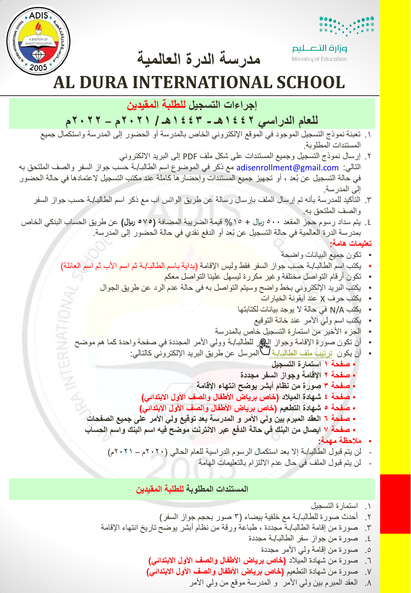

وزارة التصليم Ministry of Education

**مدرسة الدرة العالمية**



# **AL DURA INTERNATIONAL SCHOOL**

### **إجراءات التسجيل للطلبة المقيدين**

## **للعام الدراسي 1442هـ - 1443هـ / 2021م – 2022م**

- ١. تعبئة نموذج التسجيل الموجود في الموقع الإلكتروني الخاص بالمدرسة أو الحضور إلى المدرسة واستكمال جميع المستندات المطلوبة.
- ٢. إرسال نموذج التسجيل وجميع المستندات على شكل ملف PDF إلى البريد الالكتروني التالي: adisenrollment@gmail.com مع ذكر في الموضوع اسم الطالبـ/ـة حسب جواز السفر والصف الملتحق به في حالة التسجيل عن بُعد ، أو تجهيز جميع المستندات وإحضارها كاملة عند مكتب التسجيل لاعتمادها في حالة الحضور إلى المدرسة.
	- .3 التأكٌد للمدرسة بأنه تم إرسال الملف بإرسال رسالة عن طرٌق الواتس اب مع ذكر اسم الطالبـ/ـة حسب جواز السفر والصف الملتحق به.
- .4 ٌتم سداد رسوم حجز المقعد 500 لاير + %15 قٌمة الضرٌبة المضافة **)575 لاير(** عن طرٌق الحساب البنكً الخاص بمدرسة الدرة العالمية في حالة التسجيل عن بُعد أو الدفع نقدي في حالة الحضور إلى المدرسة.
	- **تعليمات هامة:**
	- تكون جميع البيانات واضحة
	- بكتب اسم الطالبـ/ـة حسب جواز ال<mark>سفر ف</mark>قط وليس الإقامة (بداية باسم الطالبـ/ـة ثم اسم الأب ثم اسم العائلة)
		- تكون أرقام التواصل مختلفة وغٌر مكررة لٌسهل علٌنا التواصل معكم
		- بكتب البريد الإلكتروني بخط واضح وسيتم التواصل به في حالة عد<mark>م ال</mark>رد عن طريق الجوال
			- يكتب حرف X عند أيقونة <mark>الخ</mark>يارات
			- بكتب N/A في حالة لا يوجد بيانات لكتابتها
				- بكتب اسم ولى الأمر عند خانة <mark>ال</mark>توقيع
			- ِ الجزء الأخير من است<mark>مارة التسج</mark>يل خاص بالمدرسة
		- أن تكون صورة الإقامة وجواز السهر للطالبـ/ـة وولي الأمر المجددة في صفحة واحدة كما هم موضح
			- أن يكون <u>ترتيب ملف الطالبـ/ـة ا</u>لمالمرسل عن طريق البريد الإلكترونـي كالتال<u>ي</u>:
				- **صفحة 1 استمارة التسجيل**
				- **صفحة 2 اإلقامة وجواز السفر مجددة**
				- **صفحة 3 صورة من نظام أبشر يوضح انتهاء اإلقامة**
				- **صفحة 4 شهادة الميالد )خاص برياض األطفال والصف األول االبتدائي(**
			- **صفحة 5 شهادة التطعيم )خاص برياض األطفال والصف األول االبتدائي(**
			- **صفحة 6 العقد المبرم بين ولي األمر و المدرسة بعد توقيع ولي األمر على جميع الصفحات** • **صفحة 7 ايصال من البنك في حالة الدفع عبر االنترنت موضح فيه اسم البنك واسم الحساب**
				- - **مالحظة مهمة:**
				- لن يتم قبول الطالبـ/ـة إلا بعد استكمال الرسوم الدراسية للعام الحالي (٢٠٢٠م ٢٠٢١م)
					- لن يتم قبول الملف في حال عدم الالتزام بالتعليمات الهامة

**المستندات المطلوبة للطلبة المقيدين**

- ١. استمارة التسجيل
- ٢. أحدث صورة للطالبـ/ـة مع خلفية بيضاء (٣ صور بحجم جواز السفر)
- ٣. صورة من إقامة الطالبـ/ـة مجددة ، طباعة ورقة من نظام أبشر يوضح تاريخ انتهاء الإقامة
	- .4 صورة من جواز سفر الطالبـ/ـة مجددة
		- 0. صورة من إقامة ولي الأمر مجددة
	- .6 صورة من شهادة المٌالد **)خاص برياض األطفال والصف األول االبتدائي(**
	- .7 صورة من شهادة التطعٌم **)خاص برياض األطفال والصف األول االبتدائي(**
		- ٨. العقد المبرم بين ولَّمي الأمر و المدرسة موقع من ولَّمي الأمر